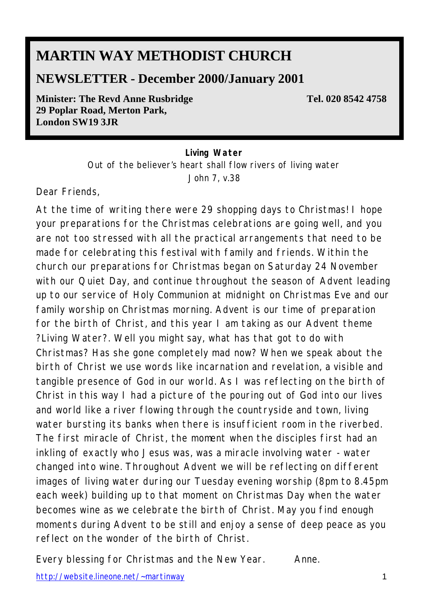# **MARTIN WAY METHODIST CHURCH**

## **NEWSLETTER - December 2000/January 2001**

**Minister: The Revd Anne Rusbridge**  Tel. 020 8542 4758 **29 Poplar Road, Merton Park, London SW19 3JR** 

#### *Living Water*

*Out of the believer's heart shall flow rivers of living water* John 7, v.38

Dear Friends,

At the time of writing there were 29 shopping days to Christmas! I hope your preparations for the Christmas celebrations are going well, and you are not too stressed with all the practical arrangements that need to be made for celebrating this festival with family and friends. Within the church our preparations for Christmas began on Saturday 24 November with our Quiet Day, and continue throughout the season of Advent leading up to our service of Holy Communion at midnight on Christmas Eve and our family worship on Christmas morning. Advent is our time of preparation for the birth of Christ, and this year I am taking as our Advent theme ?Living Water?. Well you might say, what has that got to do with Christmas? Has she gone completely mad now? When we speak about the birth of Christ we use words like incarnation and revelation, a visible and tangible presence of God in our world. As I was reflecting on the birth of Christ in this way I had a picture of the pouring out of God into our lives and world like a river flowing through the countryside and town, living water bursting its banks when there is insufficient room in the riverbed. The first miracle of Christ, the moment when the disciples first had an inkling of exactly who Jesus was, was a miracle involving water - water changed into wine. Throughout Advent we will be reflecting on different images of living water during our Tuesday evening worship (*8pm to 8.45pm each week*) building up to that moment on Christmas Day when the water becomes wine as we celebrate the birth of Christ. May you find enough moments during Advent to be still and enjoy a sense of deep peace as you reflect on the wonder of the birth of Christ.

Every blessing for Christmas and the New Year. Anne.

http://website.lineone.net/~martinway 1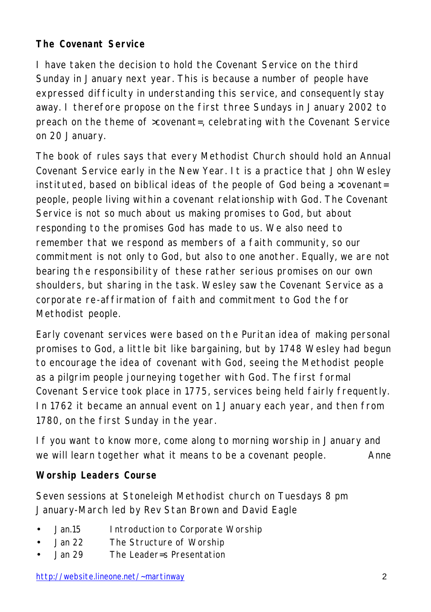## **The Covenant Service**

I have taken the decision to hold the Covenant Service on the third Sunday in January next year. This is because a number of people have expressed difficulty in understanding this service, and consequently stay away. I therefore propose on the first three Sundays in January 2002 to preach on the theme of >covenant=, celebrating with the Covenant Service on 20 January.

The book of rules says that every Methodist Church should hold an Annual Covenant Service early in the New Year. It is a practice that John Wesley instituted, based on biblical ideas of the people of God being a >covenant= people, people living within a covenant relationship with God. The Covenant Service is not so much about us making promises to God, but about responding to the promises God has made to us. We also need to remember that we respond as members of a faith community, so our commitment is not only to God, but also to one another. Equally, we are not bearing the responsibility of these rather serious promises on our own shoulders, but sharing in the task. Wesley saw the Covenant Service as a corporate re-affirmation of faith and commitment to God the for Methodist people.

Early covenant services were based on th e Puritan idea of making personal promises to God, a little bit like bargaining, but by 1748 Wesley had begun to encourage the idea of covenant with God, seeing the Methodist people as a pilgrim people journeying together with God. The first formal Covenant Service took place in 1775, services being held fairly frequently. In 1762 it became an annual event on 1 January each year, and then from 1780, on the first Sunday in the year.

If you want to know more, come along to morning worship in January and we will learn together what it means to be a covenant people. Anne

#### **Worship Leaders Course**

Seven sessions at Stoneleigh Methodist church on Tuesdays 8 pm January-March led by Rev Stan Brown and David Eagle

- Jan.15 Introduction to Corporate Worship
- Jan 22 The Structure of Worship
- Jan 29 The Leader=s Presentation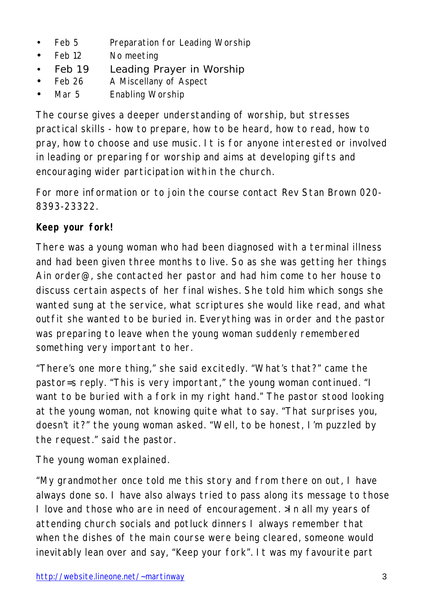- Feb 5 Preparation for Leading Worship
- Feb 12 No meeting
- Feb 19 Leading Prayer in Worship
- Feb 26 A Miscellany of Aspect
- Mar 5 Enabling Worship

The course gives a deeper understanding of worship, but stresses practical skills - how to prepare, how to be heard, how to read, how to pray, how to choose and use music. It is for anyone interested or involved in leading or preparing for worship and aims at developing gifts and encouraging wider participation within the church.

For more information or to join the course contact Rev Stan Brown 020- 8393-23322.

## **Keep your fork!**

There was a young woman who had been diagnosed with a terminal illness and had been given three months to live. So as she was getting her things Ain order@, she contacted her pastor and had him come to her house to discuss certain aspects of her final wishes. She told him which songs she wanted sung at the service, what scriptures she would like read, and what outfit she wanted to be buried in. Everything was in order and the pastor was preparing to leave when the young woman suddenly remembered something very important to her.

"There's one more thing," she said excitedly. "What's that?" came the pastor=s reply. "This is very important," the young woman continued. "I want to be buried with a fork in my right hand." The pastor stood looking at the young woman, not knowing quite what to say. "That surprises you, doesn't it?" the young woman asked. "Well, to be honest, I'm puzzled by the request." said the pastor.

The young woman explained.

"My grandmother once told me this story and from there on out, I have always done so. I have also always tried to pass along its message to those I love and those who are in need of encouragement. >In all my years of attending church socials and potluck dinners I always remember that when the dishes of the main course were being cleared, someone would inevitably lean over and say, "Keep your fork". It was my favourite part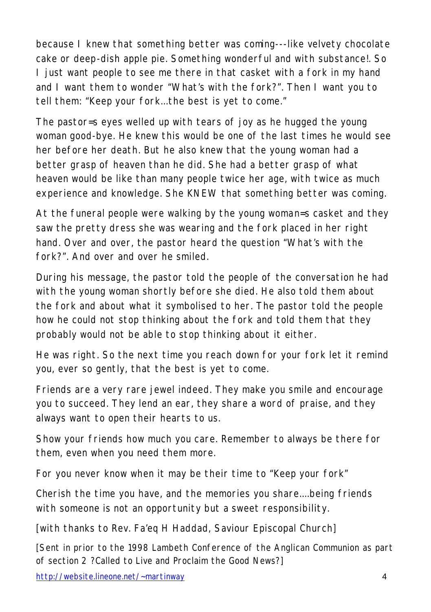because I knew that something better was coming---like velvety chocolate cake or deep-dish apple pie. Something wonderful and with substance!. So I just want people to see me there in that casket with a fork in my hand and I want them to wonder "What's with the fork?". Then I want you to tell them: "Keep your fork...the best is yet to come."

The pastor=s eyes welled up with tears of joy as he hugged the young woman good-bye. He knew this would be one of the last times he would see her before her death. But he also knew that the young woman had a better grasp of heaven than he did. She had a better grasp of what heaven would be like than many people twice her age, with twice as much experience and knowledge. She KNEW that something better was coming.

At the funeral people were walking by the young woman=s casket and they saw the pretty dress she was wearing and the fork placed in her right hand. Over and over, the pastor heard the question "What's with the fork?". And over and over he smiled.

During his message, the pastor told the people of the conversation he had with the young woman shortly before she died. He also told them about the fork and about what it symbolised to her. The pastor told the people how he could not stop thinking about the fork and told them that they probably would not be able to stop thinking about it either.

He was right. So the next time you reach down for your fork let it remind you, ever so gently, that the best is yet to come.

Friends are a very rare jewel indeed. They make you smile and encourage you to succeed. They lend an ear, they share a word of praise, and they always want to open their hearts to us.

Show your friends how much you care. Remember to always be there for them, even when you need them more.

For you never know when it may be their time to "Keep your fork"

Cherish the time you have, and the memories you share....being friends with someone is not an opportunity but a sweet responsibility.

[with thanks to Rev. Fa'eq H Haddad, Saviour Episcopal Church]

[Sent in prior to the 1998 Lambeth Conference of the Anglican Communion as part of section 2 ?Called to Live and Proclaim the Good News?]

http://website.lineone.net/~martinway 4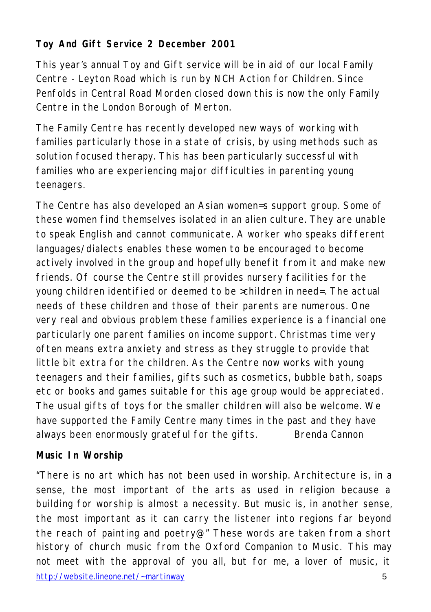## **Toy And Gift Service 2 December 2001**

This year's annual Toy and Gift service will be in aid of our local Family Centre - Leyton Road which is run by NCH Action for Children. Since Penfolds in Central Road Morden closed down this is now the only Family Centre in the London Borough of Merton.

The Family Centre has recently developed new ways of working with families particularly those in a state of crisis, by using methods such as solution focused therapy. This has been particularly successful with families who are experiencing major difficulties in parenting young teenagers.

The Centre has also developed an Asian women=s support group. Some of these women find themselves isolated in an alien culture. They are unable to speak English and cannot communicate. A worker who speaks different languages/dialects enables these women to be encouraged to become actively involved in the group and hopefully benefit from it and make new friends. Of course the Centre still provides nursery facilities for the young children identified or deemed to be >children in need=. The actual needs of these children and those of their parents are numerous. One very real and obvious problem these families experience is a financial one particularly one parent families on income support. Christmas time very often means extra anxiety and stress as they struggle to provide that little bit extra for the children. As the Centre now works with young teenagers and their families, gifts such as cosmetics, bubble bath, soaps etc or books and games suitable for this age group would be appreciated. The usual gifts of toys for the smaller children will also be welcome. We have supported the Family Centre many times in the past and they have always been enormously grateful for the gifts. Brenda Cannon

#### **Music In Worship**

http://website.lineone.net/~martinway 5 "There is no art which has not been used in worship. Architecture is, in a sense, the most important of the arts as used in religion because a building for worship is almost a necessity. But music is, in another sense, the most important as it can carry the listener into regions far beyond the reach of painting and poetry@" These words are taken from a short history of church music from the Oxford Companion to Music. This may not meet with the approval of you all, but for me, a lover of music, it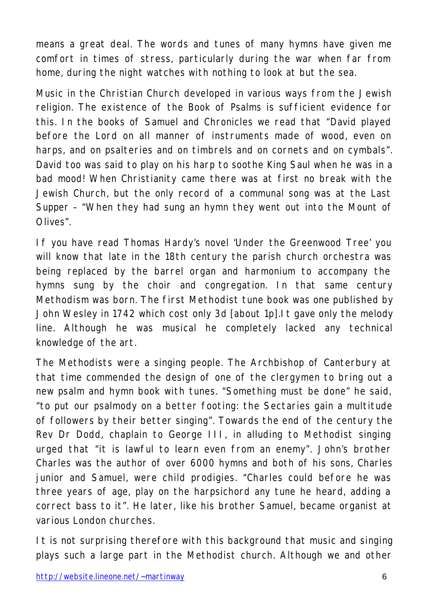means a great deal. The words and tunes of many hymns have given me comfort in times of stress, particularly during the war when far from home, during the night watches with nothing to look at but the sea.

Music in the Christian Church developed in various ways from the Jewish religion. The existence of the Book of Psalms is sufficient evidence for this. In the books of Samuel and Chronicles we read that "David played before the Lord on all manner of instruments made of wood, even on harps, and on psalteries and on timbrels and on cornets and on cymbals". David too was said to play on his harp to soothe King Saul when he was in a bad mood! When Christianity came there was at first no break with the Jewish Church, but the only record of a communal song was at the Last Supper – "When they had sung an hymn they went out into the Mount of Olives".

If you have read Thomas Hardy's novel 'Under the Greenwood Tree' you will know that late in the 18th century the parish church orchestra was being replaced by the barrel organ and harmonium to accompany the hymns sung by the choir and congregation. In that same century Methodism was born. The first Methodist tune book was one published by John Wesley in 1742 which cost only 3d [about 1p].It gave only the melody line. Although he was musical he completely lacked any technical knowledge of the art.

The Methodists were a singing people. The Archbishop of Canterbury at that time commended the design of one of the clergymen to bring out a new psalm and hymn book with tunes. "Something must be done" he said, "to put our psalmody on a better footing: the Sectaries gain a multitude of followers by their better singing". Towards the end of the century the Rev Dr Dodd, chaplain to George III, in alluding to Methodist singing urged that "it is lawful to learn even from an enemy". John's brother Charles was the author of over 6000 hymns and both of his sons, Charles junior and Samuel, were child prodigies. "Charles could before he was three years of age, play on the harpsichord any tune he heard, adding a correct bass to it". He later, like his brother Samuel, became organist at various London churches.

It is not surprising therefore with this background that music and singing plays such a large part in the Methodist church. Although we and other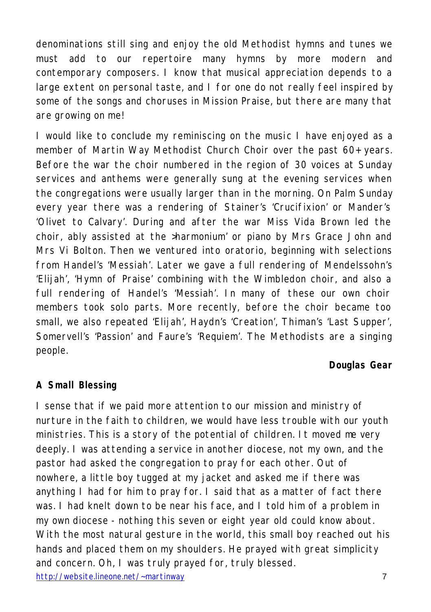denominations still sing and enjoy the old Methodist hymns and tunes we must add to our repertoire many hymns by more modern and contemporary composers. I know that musical appreciation depends to a large extent on personal taste, and I for one do not really feel inspired by some of the songs and choruses in Mission Praise, but there are many that are growing on me!

I would like to conclude my reminiscing on the music I have enjoyed as a member of Martin Way Methodist Church Choir over the past 60+ years. Before the war the choir numbered in the region of 30 voices at Sunday services and anthems were generally sung at the evening services when the congregations were usually larger than in the morning. On Palm Sunday every year there was a rendering of Stainer's 'Crucifixion' or Mander's 'Olivet to Calvary'. During and after the war Miss Vida Brown led the choir, ably assisted at the >harmonium' or piano by Mrs Grace John and Mrs Vi Bolton. Then we ventured into oratorio, beginning with selections from Handel's 'Messiah'. Later we gave a full rendering of Mendelssohn's 'Elijah', 'Hymn of Praise' combining with the Wimbledon choir, and also a full rendering of Handel's 'Messiah'. In many of these our own choir members took solo parts. More recently, before the choir became too small, we also repeated 'Elijah', Haydn's 'Creation', Thiman's 'Last Supper', Somervell's 'Passion' and Faure's 'Requiem'. The Methodists are a singing people.

#### **Douglas Gear**

#### **A Small Blessing**

http://website.lineone.net/~martinway 7 I sense that if we paid more attention to our mission and ministry of nurture in the faith to children, we would have less trouble with our youth ministries. This is a story of the potential of children. It moved me very deeply. I was attending a service in another diocese, not my own, and the pastor had asked the congregation to pray for each other. Out of nowhere, a little boy tugged at my jacket and asked me if there was anything I had for him to pray for. I said that as a matter of fact there was. I had knelt down to be near his face, and I told him of a problem in my own diocese - nothing this seven or eight year old could know about. With the most natural gesture in the world, this small boy reached out his hands and placed them on my shoulders. He prayed with great simplicity and concern. Oh, I was truly prayed for, truly blessed.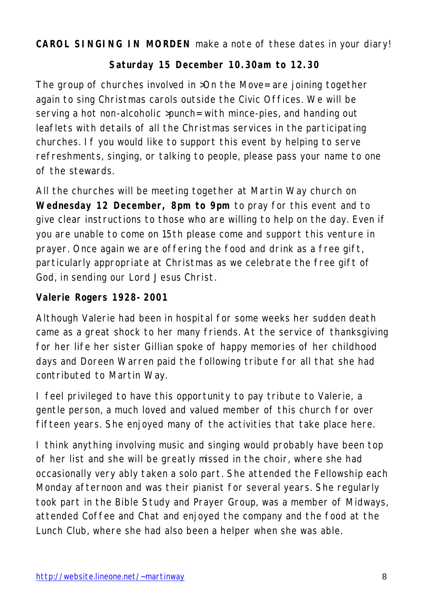**CAROL SINGING IN MORDEN** make a note of these dates in your diary!

#### **Saturday 15 December 10.30am to 12.30**

The group of churches involved in >On the Move= are joining together again to sing Christmas carols outside the Civic Offices. We will be serving a hot non-alcoholic >punch= with mince-pies, and handing out leaflets with details of all the Christmas services in the participating churches. If you would like to support this event by helping to serve refreshments, singing, or talking to people, please pass your name to one of the stewards.

All the churches will be meeting together at Martin Way church on **Wednesday 12 December, 8pm to 9pm** to pray for this event and to give clear instructions to those who are willing to help on the day. Even if you are unable to come on 15th please come and support this venture in prayer. Once again we are offering the food and drink as a free gift, particularly appropriate at Christmas as we celebrate the free gift of God, in sending our Lord Jesus Christ.

#### **Valerie Rogers 1928-2001**

Although Valerie had been in hospital for some weeks her sudden death came as a great shock to her many friends. At the service of thanksgiving for her life her sister Gillian spoke of happy memories of her childhood days and Doreen Warren paid the following tribute for all that she had contributed to Martin Way.

I feel privileged to have this opportunity to pay tribute to Valerie, a gentle person, a much loved and valued member of this church for over fifteen years. She enjoyed many of the activities that take place here.

I think anything involving music and singing would probably have been top of her list and she will be greatly missed in the choir, where she had occasionally very ably taken a solo part. She attended the Fellowship each Monday afternoon and was their pianist for several years. She regularly took part in the Bible Study and Prayer Group, was a member of Midways, attended Coffee and Chat and enjoyed the company and the food at the Lunch Club, where she had also been a helper when she was able.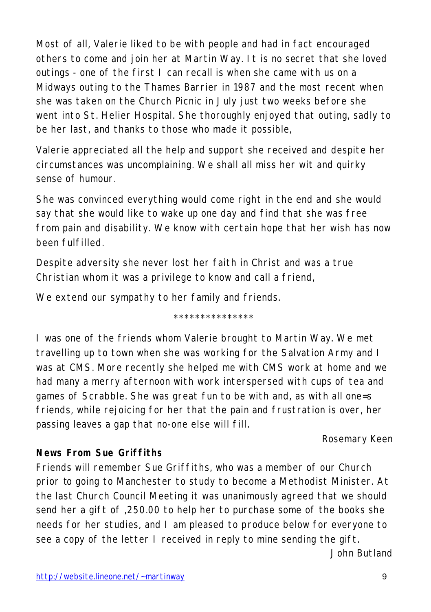Most of all, Valerie liked to be with people and had in fact encouraged others to come and join her at Martin Way. It is no secret that she loved outings - one of the first I can recall is when she came with us on a Midways outing to the Thames Barrier in 1987 and the most recent when she was taken on the Church Picnic in July just two weeks before she went into St. Helier Hospital. She thoroughly enjoyed that outing, sadly to be her last, and thanks to those who made it possible,

Valerie appreciated all the help and support she received and despite her circumstances was uncomplaining. We shall all miss her wit and quirky sense of humour.

She was convinced everything would come right in the end and she would say that she would like to wake up one day and find that she was free from pain and disability. We know with certain hope that her wish has now been fulfilled.

Despite adversity she never lost her faith in Christ and was a true Christian whom it was a privilege to know and call a friend,

We extend our sympathy to her family and friends.

\*\*\*\*\*\*\*\*\*\*\*\*\*\*\*

I was one of the friends whom Valerie brought to Martin Way. We met travelling up to town when she was working for the Salvation Army and I was at CMS. More recently she helped me with CMS work at home and we had many a merry afternoon with work interspersed with cups of tea and games of Scrabble. She was great fun to be with and, as with all one=s friends, while rejoicing for her that the pain and frustration is over, her passing leaves a gap that no-one else will fill.

Rosemary Keen

## **News From Sue Griffiths**

Friends will remember Sue Griffiths, who was a member of our Church prior to going to Manchester to study to become a Methodist Minister. At the last Church Council Meeting it was unanimously agreed that we should send her a gift of ,250.00 to help her to purchase some of the books she needs for her studies, and I am pleased to produce below for everyone to see a copy of the letter I received in reply to mine sending the gift. John Butland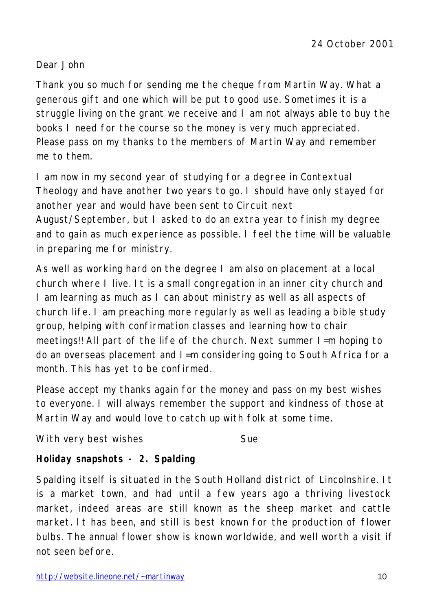#### Dear John

Thank you so much for sending me the cheque from Martin Way. What a generous gift and one which will be put to good use. Sometimes it is a struggle living on the grant we receive and I am not always able to buy the books I need for the course so the money is very much appreciated. Please pass on my thanks to the members of Martin Way and remember me to them.

I am now in my second year of studying for a degree in Contextual Theology and have another two years to go. I should have only stayed for another year and would have been sent to Circuit next August/September, but I asked to do an extra year to finish my degree and to gain as much experience as possible. I feel the time will be valuable in preparing me for ministry.

As well as working hard on the degree I am also on placement at a local church where I live. It is a small congregation in an inner city church and I am learning as much as I can about ministry as well as all aspects of church life. I am preaching more regularly as well as leading a bible study group, helping with confirmation classes and learning how to chair meetings!! All part of the life of the church. Next summer I=m hoping to do an overseas placement and I=m considering going to South Africa for a month. This has yet to be confirmed.

Please accept my thanks again for the money and pass on my best wishes to everyone. I will always remember the support and kindness of those at Martin Way and would love to catch up with folk at some time.

With very best wishes The Sue

## **Holiday snapshots - 2. Spalding**

Spalding itself is situated in the South Holland district of Lincolnshire. It is a market town, and had until a few years ago a thriving livestock market, indeed areas are still known as the sheep market and cattle market. It has been, and still is best known for the production of flower bulbs. The annual flower show is known worldwide, and well worth a visit if not seen before.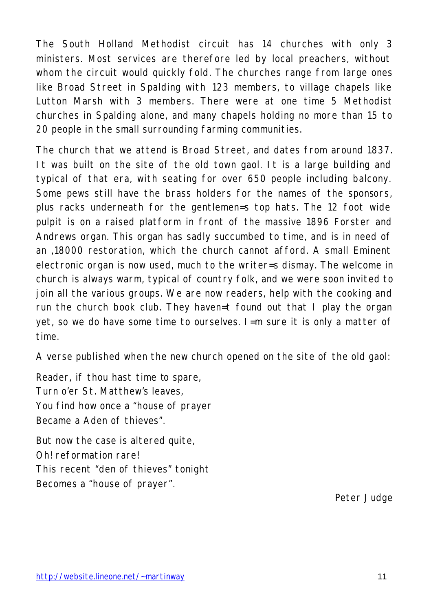The South Holland Methodist circuit has 14 churches with only 3 ministers. Most services are therefore led by local preachers, without whom the circuit would quickly fold. The churches range from large ones like Broad Street in Spalding with 123 members, to village chapels like Lutton Marsh with 3 members. There were at one time 5 Methodist churches in Spalding alone, and many chapels holding no more than 15 to 20 people in the small surrounding farming communities.

The church that we attend is Broad Street, and dates from around 1837. It was built on the site of the old town gaol. It is a large building and typical of that era, with seating for over 650 people including balcony. Some pews still have the brass holders for the names of the sponsors, plus racks underneath for the gentlemen=s top hats. The 12 foot wide pulpit is on a raised platform in front of the massive 1896 Forster and Andrews organ. This organ has sadly succumbed to time, and is in need of an ,18000 restoration, which the church cannot afford. A small Eminent electronic organ is now used, much to the writer=s dismay. The welcome in church is always warm, typical of country folk, and we were soon invited to join all the various groups. We are now readers, help with the cooking and run the church book club. They haven=t found out that I play the organ yet, so we do have some time to ourselves. I=m sure it is only a matter of time.

A verse published when the new church opened on the site of the old gaol:

Reader, if thou hast time to spare, Turn o'er St. Matthew's leaves, You find how once a "house of prayer Became a Aden of thieves"

But now the case is altered quite, Oh! reformation rare! This recent "den of thieves" tonight Becomes a "house of prayer".

Peter Judge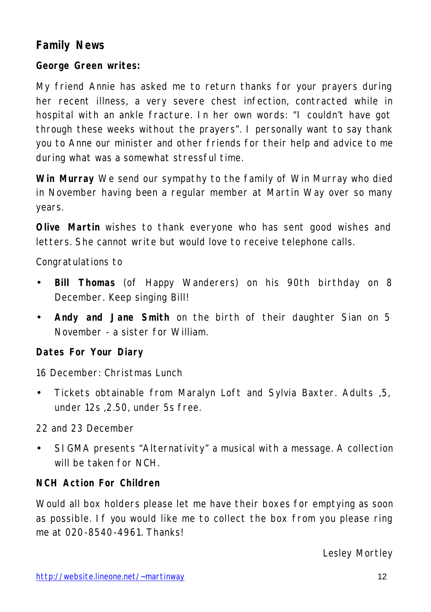## **Family News**

#### **George Green writes:**

My friend Annie has asked me to return thanks for your prayers during her recent illness, a very severe chest infection, contracted while in hospital with an ankle fracture. In her own words: "I couldn't have got through these weeks without the prayers". I personally want to say thank you to Anne our minister and other friends for their help and advice to me during what was a somewhat stressful time.

**Win Murray** We send our sympathy to the family of Win Murray who died in November having been a regular member at Martin Way over so many years.

**Olive Martin** wishes to thank everyone who has sent good wishes and letters. She cannot write but would love to receive telephone calls.

Congratulations to

- **Bill Thomas** (of Happy Wanderers) on his 90th birthday on 8 December. Keep singing Bill!
- **Andy and Jane Smith** on the birth of their daughter Sian on 5 November - a sister for William.

#### **Dates For Your Diary**

16 December: Christmas Lunch

• Tickets obtainable from Maralyn Loft and Sylvia Baxter. Adults ,5, under 12s ,2.50, under 5s free.

22 and 23 December

• SIGMA presents "Alternativity" a musical with a message. A collection will be taken for NCH.

#### **NCH Action For Children**

Would all box holders please let me have their boxes for emptying as soon as possible. If you would like me to collect the box from you please ring me at 020-8540-4961. Thanks!

Lesley Mortley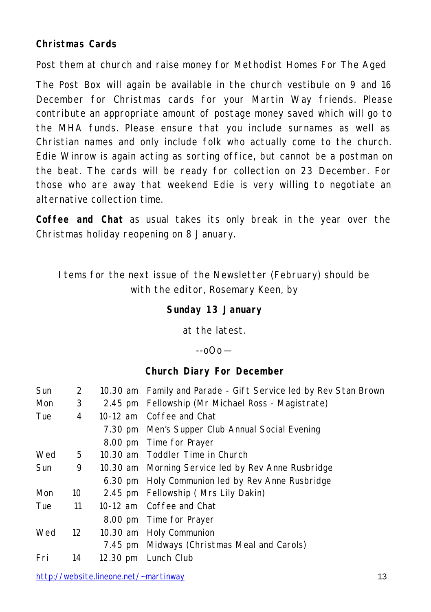#### **Christmas Cards**

Post them at church and raise money for Methodist Homes For The Aged

The Post Box will again be available in the church vestibule on 9 and 16 December for Christmas cards for your Martin Way friends. Please contribute an appropriate amount of postage money saved which will go to the MHA funds. Please ensure that you include surnames as well as Christian names and only include folk who actually come to the church. Edie Winrow is again acting as sorting office, but cannot be a postman on the beat. The cards will be ready for collection on 23 December. For those who are away that weekend Edie is very willing to negotiate an alternative collection time.

**Coffee and Chat** as usual takes its only break in the year over the Christmas holiday reopening on 8 January.

Items for the next issue of the Newsletter (February) should be with the editor, Rosemary Keen, by

#### **Sunday 13 January**

at the latest.

 $-0$  $\Omega$ o $-$ 

#### **Church Diary For December**

| <b>Sun</b> | 2  |          | 10.30 am Family and Parade - Gift Service led by Rev Stan Brown |
|------------|----|----------|-----------------------------------------------------------------|
| <b>Mon</b> | 3  |          | 2.45 pm Fellowship (Mr Michael Ross - Magistrate)               |
| Tue        | 4  | 10-12 am | Coffee and Chat                                                 |
|            |    |          | 7.30 pm Men's Supper Club Annual Social Evening                 |
|            |    | 8.00 pm  | Time for Prayer                                                 |
| Wed        | 5. |          | 10.30 am Toddler Time in Church                                 |
| Sun        | 9  |          | 10.30 am Morning Service led by Rev Anne Rusbridge              |
|            |    |          | 6.30 pm Holy Communion led by Rev Anne Rusbridge                |
| <b>Mon</b> | 10 |          | 2.45 pm Fellowship (Mrs Lily Dakin)                             |
| Tue        | 11 |          | 10-12 am Coffee and Chat                                        |
|            |    |          | 8.00 pm Time for Prayer                                         |
| Wed        | 12 | 10.30 am | Holy Communion                                                  |
|            |    | 7.45 pm  | Midways (Christmas Meal and Carols)                             |
| Fri        | 14 | 12.30 pm | Lunch Club                                                      |